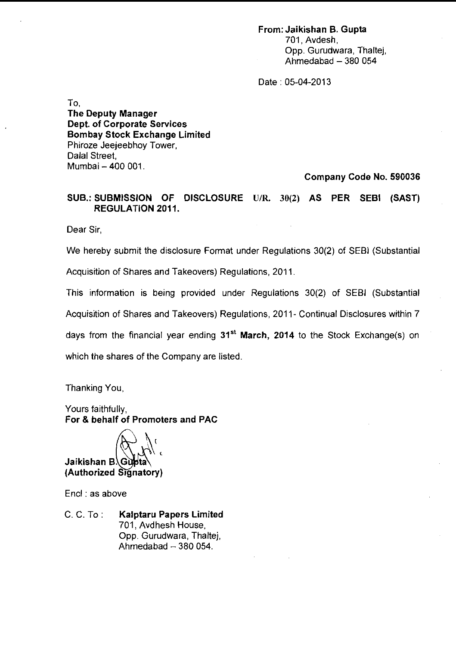## **From: Jaikishan B. Gupta**  701, Avdesh, Opp. Gurudwara, Thaltej, Ahmedabad  $-380054$

Date : 05-04-2013

To. **The Deputy Manager Dept. of Corporate Services Bombay Stock Exchange Limited**  Phiroze Jeejeebhoy Tower, Dalal Street, Mumbai - 400 001.

**Company Code No. 590036** 

**SUB.: SUBMISSION OF DISCLOSURE UIR. 30(2) AS PER SEBl (SAST) REGULATION 2011.** 

Dear Sir

We hereby submit the disclosure Format under Regulations 30(2) of SEBl (Substantial

Acquisition of Shares and Takeovers) Regulations, 2011.

This information is being provided under Regulations 30(2) of SEBl (Substantial

Acquisition of Shares and Takeovers) Regulations, 2011- Continual Disclosures within 7

days from the financial year ending **31'' March, 2014** to the Stock Exchange(s) on

which the shares of the Company are listed.

Thanking You

Yours faithfully, **For** & **behalf of Promoters and PAC** 

Jaikishan B. Gubta (Authorized Signatory)

Encl : as above

C. C. To : **Kalptaru Papers Limited**  701, Avdhesh House, Opp. Gurudwara, Thaltej, Ahmedabad  $-380054$ .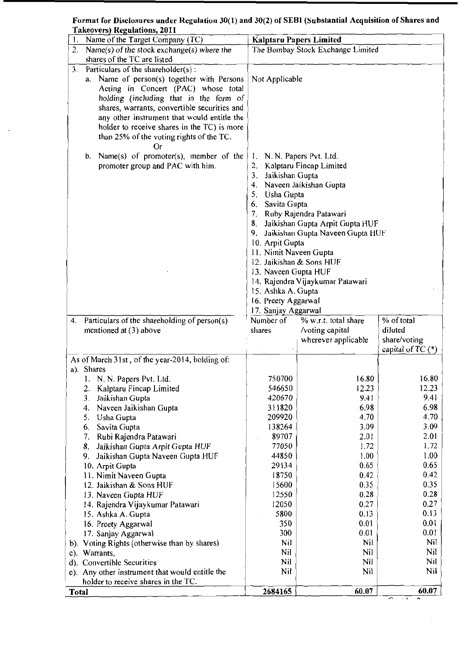Format for Disclosures under Regulatiur~ 30(1) and 30(2) of **SEBl** (Substantial Acquisition of Shares and - Takeovers) Regulations, 2011

 $\bar{z}$ 

|              | Name of the Target Company (TC)                 |                           | <b>Kalptaru Papers Limited</b>      |                                                   |
|--------------|-------------------------------------------------|---------------------------|-------------------------------------|---------------------------------------------------|
|              | Name(s) of the stock exchange(s) where the      |                           | The Bombay Stock Exchange Limited   |                                                   |
|              | shares of the TC are listed                     |                           |                                     |                                                   |
|              | 3. Particulars of the shareholder(s):           |                           |                                     |                                                   |
|              | a. Name of person(s) together with Persons      | Not Applicable            |                                     |                                                   |
|              | Acting in Concert (PAC) whose total             |                           |                                     |                                                   |
|              | holding (including that in the form of          |                           |                                     |                                                   |
|              | shares, warrants, convertible securities and    |                           |                                     |                                                   |
|              | any other instrument that would entitle the     |                           |                                     |                                                   |
|              | holder to receive shares in the TC) is more     |                           |                                     |                                                   |
|              | than 25% of the voting rights of the TC.        |                           |                                     |                                                   |
|              | Or                                              |                           |                                     |                                                   |
|              | b. Name(s) of promoter(s), member of the        | 1. N. N. Papers Pvt. Ltd. |                                     |                                                   |
|              | promoter group and PAC with him.                |                           | 2. Kalptaru Fincap Limited          |                                                   |
|              |                                                 | Jaikishan Gupta<br>3.     |                                     |                                                   |
|              |                                                 | 4.                        | Naveen Jaikishan Gupta              |                                                   |
|              |                                                 | Usha Gupta<br>5.          |                                     |                                                   |
|              |                                                 |                           |                                     |                                                   |
|              |                                                 | Savita Gupta<br>6.        |                                     |                                                   |
|              |                                                 | 7.                        | Ruby Rajendra Patawari              |                                                   |
|              |                                                 |                           | 8. Jaikishan Gupta Arpit Gupta HUF  |                                                   |
|              |                                                 |                           | 9. Jaikishan Gupta Naveen Gupta HUF |                                                   |
|              |                                                 | 10. Arpit Gupta           |                                     |                                                   |
|              |                                                 | 11. Nimit Naveen Gupta    |                                     |                                                   |
|              |                                                 |                           | 12. Jaikishan & Sons HUF            |                                                   |
|              |                                                 | 13. Naveen Gupta HUF      |                                     |                                                   |
|              |                                                 |                           | 14. Rajendra Vijaykumar Patawari    |                                                   |
|              |                                                 | 15. Ashka A. Gupta        |                                     |                                                   |
|              |                                                 | 16. Preety Aggarwal       |                                     |                                                   |
|              |                                                 | 17. Sanjay Aggarwal       |                                     |                                                   |
| 4.           | Particulars of the shareholding of person(s)    | Number of                 | % w.r.t. total share                | $%$ of total                                      |
|              | mentioned at $(3)$ above                        | shares                    | /voting capital                     | diluted                                           |
|              |                                                 |                           |                                     |                                                   |
|              |                                                 |                           | wherever applicable                 | share/voting                                      |
|              |                                                 |                           |                                     | capital of TC $(*)$                               |
|              | As of March 31st, of the year-2014, holding of: |                           |                                     |                                                   |
|              | a). Shares                                      |                           |                                     |                                                   |
|              | 1. N. N. Papers Pvt. Ltd.                       | 750700                    | 16.80                               | 16.80                                             |
|              | Kalptaru Fincap Limited<br>2.                   | 546650                    | 12.23                               | 12.23                                             |
|              | Jaikishan Gupta<br>3.                           | 420670                    | 9.41                                | 9.41                                              |
|              | 4.                                              | 311820                    | 6.98                                | 6.98                                              |
|              | Naveen Jaikishan Gupta<br>5.                    | 209920                    | 4.70                                | 4.70                                              |
|              | Usha Gupta<br>6.                                |                           |                                     | 3.09                                              |
|              | Savita Gupta                                    | 138264                    | 3.09                                |                                                   |
|              | Rubi Rajendra Patawari<br>7.                    | 89707                     | 2.01                                | 2.01                                              |
|              | Jaikishan Gupta Arpit Gupta HUF<br>8.           | 77050                     | 1.72                                | 1.72                                              |
|              | Jaikishan Gupta Naveen Gupta HUF<br>9.          | 44850                     | 1.00                                | 1.00                                              |
|              | 10. Arpit Gupta                                 | 29134                     | 0.65                                | 0.65                                              |
|              | 11. Nimit Naveen Gupta                          | 18750                     | 0.42                                | 0.42                                              |
|              | 12. Jaikishan & Sons HUF                        | 15600                     | 0.35                                | 0.35                                              |
|              | 13. Naveen Gupta HUF                            | 12550                     | 0.28                                | 0.28                                              |
|              | 14. Rajendra Vijaykumar Patawari                | 12050                     | 0.27                                | 0.27                                              |
|              | 15. Ashka A. Gupta                              | 5800                      | 0.13                                | 0.13                                              |
|              | 16. Preety Aggarwal                             | 350                       | 0.01                                | 0.01                                              |
|              | 17. Sanjay Aggarwal                             | 300                       | 0.01                                | 0.01                                              |
|              | b). Voting Rights (otherwise than by shares)    | Nil                       | Nil                                 | Nil                                               |
| $c)$ .       | Warrants,                                       | Nil                       | Nil                                 | Nil                                               |
|              | d). Convertible Securities                      | Nil                       | Nil                                 | Nil                                               |
|              | e). Any other instrument that would entitle the | Nil                       | Nil                                 | Nil                                               |
|              | holder to receive shares in the TC.             |                           |                                     |                                                   |
| <b>Total</b> |                                                 | 2684165                   | 60.07                               | 60.07<br>r<br>$\overline{\phantom{a}}$<br>$\sim1$ |